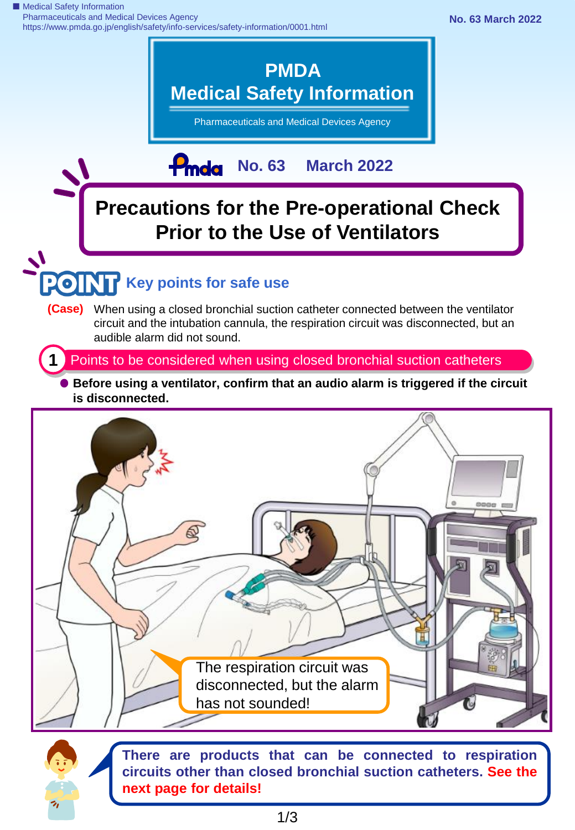■ Medical Safety Information Pharmaceuticals and Medical Devices Agency https://www.pmda.go.jp/english/safety/info-services/safety-information/0001.html



## **Precautions for the Pre-operational Check Prior to the Use of Ventilators**

# **Key points for safe use**

**(Case)** When using a closed bronchial suction catheter connected between the ventilator circuit and the intubation cannula, the respiration circuit was disconnected, but an audible alarm did not sound.

**1** Points to be considered when using closed bronchial suction catheters

**Before using a ventilator, confirm that an audio alarm is triggered if the circuit is disconnected.**



**There are products that can be connected to respiration circuits other than closed bronchial suction catheters. See the next page for details!**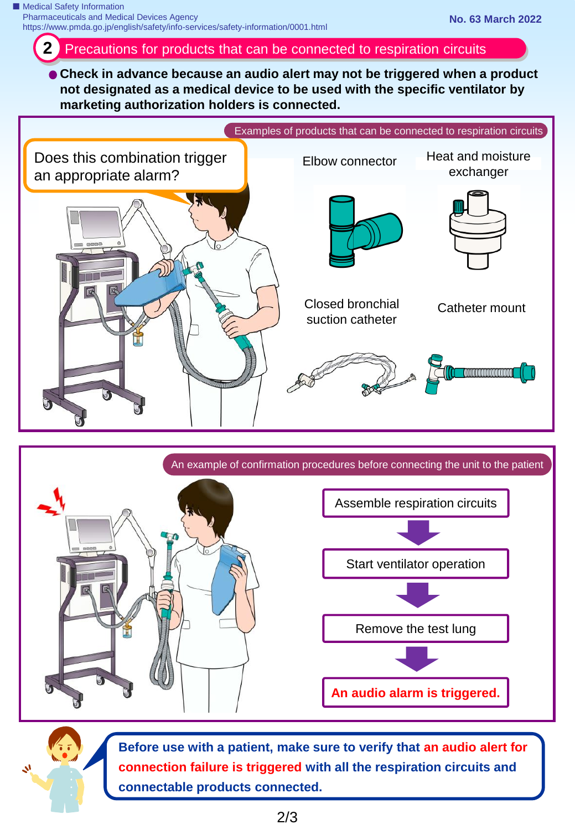### **2** Precautions for products that can be connected to respiration circuits

**Check in advance because an audio alert may not be triggered when a product not designated as a medical device to be used with the specific ventilator by marketing authorization holders is connected.**







**Before use with a patient, make sure to verify that an audio alert for connection failure is triggered with all the respiration circuits and connectable products connected.**